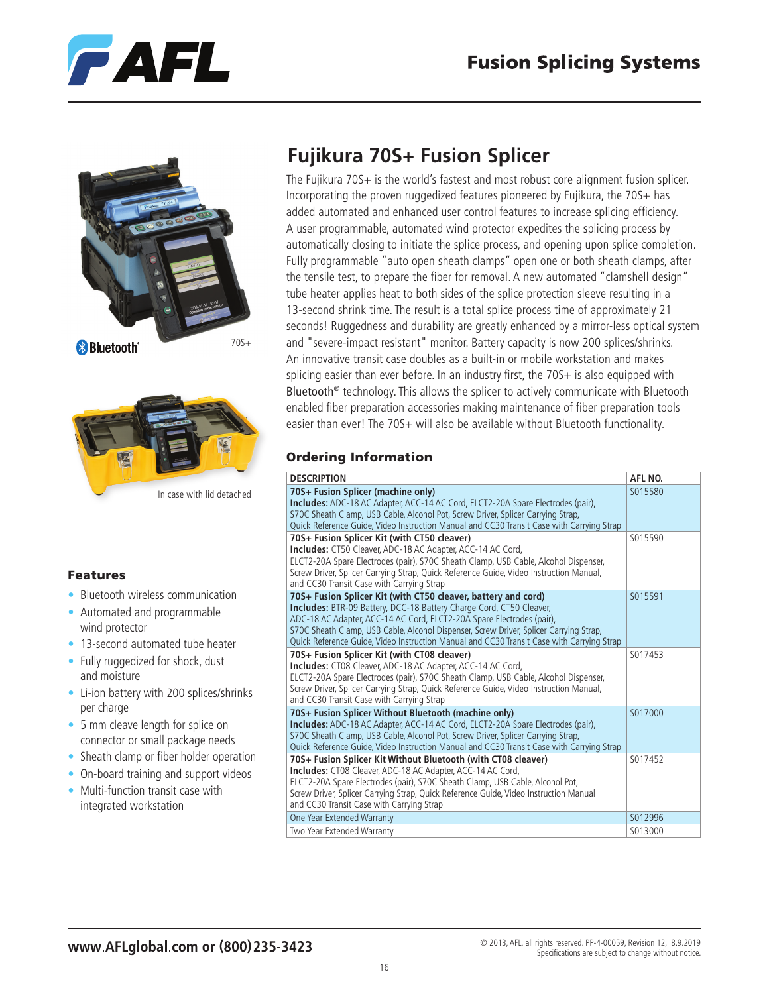





### Features

- Bluetooth wireless communication
- Automated and programmable wind protector
- 13-second automated tube heater
- Fully ruggedized for shock, dust and moisture
- Li-ion battery with 200 splices/shrinks per charge
- 5 mm cleave length for splice on connector or small package needs
- Sheath clamp or fiber holder operation
- On-board training and support videos
- Multi-function transit case with integrated workstation

# **Fujikura 70S+ Fusion Splicer**

The Fujikura 70S+ is the world's fastest and most robust core alignment fusion splicer. Incorporating the proven ruggedized features pioneered by Fujikura, the 70S+ has added automated and enhanced user control features to increase splicing efficiency. A user programmable, automated wind protector expedites the splicing process by automatically closing to initiate the splice process, and opening upon splice completion. Fully programmable "auto open sheath clamps" open one or both sheath clamps, after the tensile test, to prepare the fiber for removal. A new automated "clamshell design" tube heater applies heat to both sides of the splice protection sleeve resulting in a 13-second shrink time. The result is a total splice process time of approximately 21 seconds! Ruggedness and durability are greatly enhanced by a mirror-less optical system and "severe-impact resistant" monitor. Battery capacity is now 200 splices/shrinks. An innovative transit case doubles as a built-in or mobile workstation and makes splicing easier than ever before. In an industry first, the 70S+ is also equipped with Bluetooth<sup>®</sup> technology. This allows the splicer to actively communicate with Bluetooth enabled fiber preparation accessories making maintenance of fiber preparation tools easier than ever! The 70S+ will also be available without Bluetooth functionality.

### Ordering Information

| <b>DESCRIPTION</b>                                                                                                                                                                                                                                                                                                                                                                                          | AFL NO. |
|-------------------------------------------------------------------------------------------------------------------------------------------------------------------------------------------------------------------------------------------------------------------------------------------------------------------------------------------------------------------------------------------------------------|---------|
| 70S+ Fusion Splicer (machine only)<br><b>Includes:</b> ADC-18 AC Adapter, ACC-14 AC Cord, ELCT2-20A Spare Electrodes (pair),<br>S70C Sheath Clamp, USB Cable, Alcohol Pot, Screw Driver, Splicer Carrying Strap,<br>Quick Reference Guide, Video Instruction Manual and CC30 Transit Case with Carrying Strap                                                                                               | S015580 |
| 70S+ Fusion Splicer Kit (with CT50 cleaver)<br>Includes: CT50 Cleaver, ADC-18 AC Adapter, ACC-14 AC Cord,<br>ELCT2-20A Spare Electrodes (pair), S70C Sheath Clamp, USB Cable, Alcohol Dispenser,<br>Screw Driver, Splicer Carrying Strap, Quick Reference Guide, Video Instruction Manual,<br>and CC30 Transit Case with Carrying Strap                                                                     | S015590 |
| 70S+ Fusion Splicer Kit (with CT50 cleaver, battery and cord)<br><b>Includes: BTR-09 Battery, DCC-18 Battery Charge Cord, CT50 Cleaver,</b><br>ADC-18 AC Adapter, ACC-14 AC Cord, ELCT2-20A Spare Electrodes (pair),<br>S70C Sheath Clamp, USB Cable, Alcohol Dispenser, Screw Driver, Splicer Carrying Strap,<br>Quick Reference Guide, Video Instruction Manual and CC30 Transit Case with Carrying Strap | S015591 |
| 70S+ Fusion Splicer Kit (with CT08 cleaver)<br>Includes: CT08 Cleaver, ADC-18 AC Adapter, ACC-14 AC Cord,<br>ELCT2-20A Spare Electrodes (pair), S70C Sheath Clamp, USB Cable, Alcohol Dispenser,<br>Screw Driver, Splicer Carrying Strap, Quick Reference Guide, Video Instruction Manual,<br>and CC30 Transit Case with Carrying Strap                                                                     | S017453 |
| 70S+ Fusion Splicer Without Bluetooth (machine only)<br>Includes: ADC-18 AC Adapter, ACC-14 AC Cord, ELCT2-20A Spare Electrodes (pair),<br>S70C Sheath Clamp, USB Cable, Alcohol Pot, Screw Driver, Splicer Carrying Strap,<br>Quick Reference Guide, Video Instruction Manual and CC30 Transit Case with Carrying Strap                                                                                    | S017000 |
| 70S+ Fusion Splicer Kit Without Bluetooth (with CT08 cleaver)<br>Includes: CT08 Cleaver, ADC-18 AC Adapter, ACC-14 AC Cord,<br>ELCT2-20A Spare Electrodes (pair), S70C Sheath Clamp, USB Cable, Alcohol Pot,<br>Screw Driver, Splicer Carrying Strap, Quick Reference Guide, Video Instruction Manual<br>and CC30 Transit Case with Carrying Strap                                                          | S017452 |
| One Year Extended Warranty                                                                                                                                                                                                                                                                                                                                                                                  | S012996 |
| Two Year Extended Warranty                                                                                                                                                                                                                                                                                                                                                                                  | S013000 |